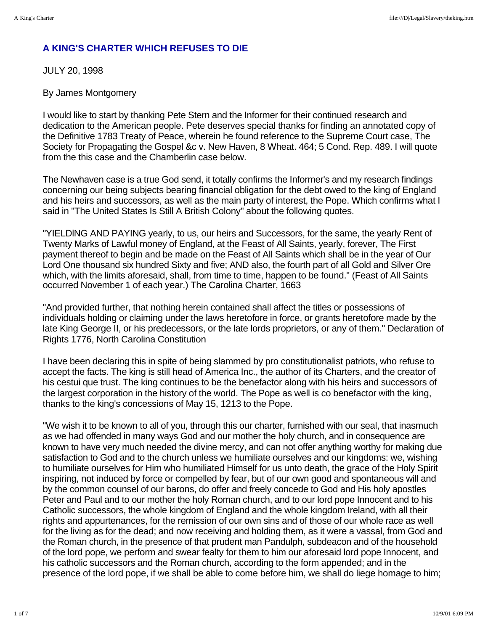## **A KING'S CHARTER WHICH REFUSES TO DIE**

JULY 20, 1998

By James Montgomery

I would like to start by thanking Pete Stern and the Informer for their continued research and dedication to the American people. Pete deserves special thanks for finding an annotated copy of the Definitive 1783 Treaty of Peace, wherein he found reference to the Supreme Court case, The Society for Propagating the Gospel &c v. New Haven, 8 Wheat. 464; 5 Cond. Rep. 489. I will quote from the this case and the Chamberlin case below.

The Newhaven case is a true God send, it totally confirms the Informer's and my research findings concerning our being subjects bearing financial obligation for the debt owed to the king of England and his heirs and successors, as well as the main party of interest, the Pope. Which confirms what I said in "The United States Is Still A British Colony" about the following quotes.

"YIELDlNG AND PAYING yearly, to us, our heirs and Successors, for the same, the yearly Rent of Twenty Marks of Lawful money of England, at the Feast of All Saints, yearly, forever, The First payment thereof to begin and be made on the Feast of All Saints which shall be in the year of Our Lord One thousand six hundred Sixty and five; AND also, the fourth part of all Gold and Silver Ore which, with the limits aforesaid, shall, from time to time, happen to be found." (Feast of All Saints occurred November 1 of each year.) The Carolina Charter, 1663

"And provided further, that nothing herein contained shall affect the titles or possessions of individuals holding or claiming under the laws heretofore in force, or grants heretofore made by the late King George II, or his predecessors, or the late lords proprietors, or any of them." Declaration of Rights 1776, North Carolina Constitution

I have been declaring this in spite of being slammed by pro constitutionalist patriots, who refuse to accept the facts. The king is still head of America Inc., the author of its Charters, and the creator of his cestui que trust. The king continues to be the benefactor along with his heirs and successors of the largest corporation in the history of the world. The Pope as well is co benefactor with the king, thanks to the king's concessions of May 15, 1213 to the Pope.

"We wish it to be known to all of you, through this our charter, furnished with our seal, that inasmuch as we had offended in many ways God and our mother the holy church, and in consequence are known to have very much needed the divine mercy, and can not offer anything worthy for making due satisfaction to God and to the church unless we humiliate ourselves and our kingdoms: we, wishing to humiliate ourselves for Him who humiliated Himself for us unto death, the grace of the Holy Spirit inspiring, not induced by force or compelled by fear, but of our own good and spontaneous will and by the common counsel of our barons, do offer and freely concede to God and His holy apostles Peter and Paul and to our mother the holy Roman church, and to our lord pope Innocent and to his Catholic successors, the whole kingdom of England and the whole kingdom Ireland, with all their rights and appurtenances, for the remission of our own sins and of those of our whole race as well for the living as for the dead; and now receiving and holding them, as it were a vassal, from God and the Roman church, in the presence of that prudent man Pandulph, subdeacon and of the household of the lord pope, we perform and swear fealty for them to him our aforesaid lord pope Innocent, and his catholic successors and the Roman church, according to the form appended; and in the presence of the lord pope, if we shall be able to come before him, we shall do liege homage to him;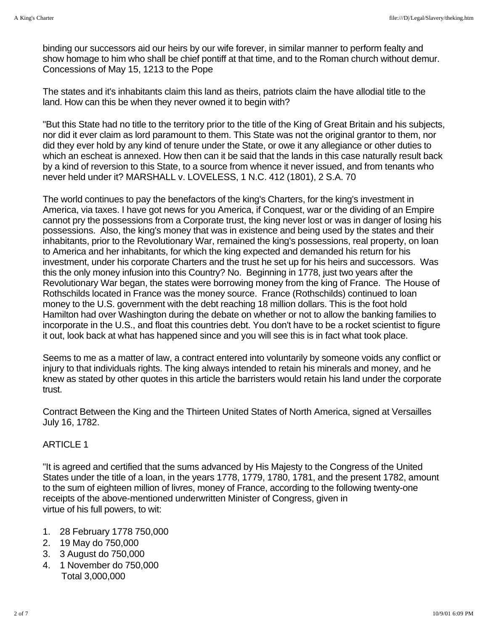binding our successors aid our heirs by our wife forever, in similar manner to perform fealty and show homage to him who shall be chief pontiff at that time, and to the Roman church without demur. Concessions of May 15, 1213 to the Pope

The states and it's inhabitants claim this land as theirs, patriots claim the have allodial title to the land. How can this be when they never owned it to begin with?

"But this State had no title to the territory prior to the title of the King of Great Britain and his subjects, nor did it ever claim as lord paramount to them. This State was not the original grantor to them, nor did they ever hold by any kind of tenure under the State, or owe it any allegiance or other duties to which an escheat is annexed. How then can it be said that the lands in this case naturally result back by a kind of reversion to this State, to a source from whence it never issued, and from tenants who never held under it? MARSHALL v. LOVELESS, 1 N.C. 412 (1801), 2 S.A. 70

The world continues to pay the benefactors of the king's Charters, for the king's investment in America, via taxes. I have got news for you America, if Conquest, war or the dividing of an Empire cannot pry the possessions from a Corporate trust, the king never lost or was in danger of losing his possessions. Also, the king's money that was in existence and being used by the states and their inhabitants, prior to the Revolutionary War, remained the king's possessions, real property, on loan to America and her inhabitants, for which the king expected and demanded his return for his investment, under his corporate Charters and the trust he set up for his heirs and successors. Was this the only money infusion into this Country? No. Beginning in 1778, just two years after the Revolutionary War began, the states were borrowing money from the king of France. The House of Rothschilds located in France was the money source. France (Rothschilds) continued to loan money to the U.S. government with the debt reaching 18 million dollars. This is the foot hold Hamilton had over Washington during the debate on whether or not to allow the banking families to incorporate in the U.S., and float this countries debt. You don't have to be a rocket scientist to figure it out, look back at what has happened since and you will see this is in fact what took place.

Seems to me as a matter of law, a contract entered into voluntarily by someone voids any conflict or injury to that individuals rights. The king always intended to retain his minerals and money, and he knew as stated by other quotes in this article the barristers would retain his land under the corporate trust.

Contract Between the King and the Thirteen United States of North America, signed at Versailles July 16, 1782.

## **ARTICLE 1**

"It is agreed and certified that the sums advanced by His Majesty to the Congress of the United States under the title of a loan, in the years 1778, 1779, 1780, 1781, and the present 1782, amount to the sum of eighteen million of livres, money of France, according to the following twenty-one receipts of the above-mentioned underwritten Minister of Congress, given in virtue of his full powers, to wit:

- 1. 28 February 1778 750,000
- 2. 19 May do 750,000
- 3. 3 August do 750,000
- 4. 1 November do 750,000 Total 3,000,000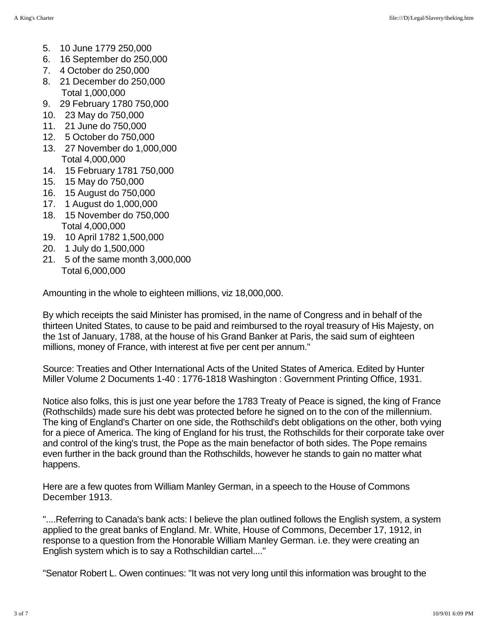- 5. 10 June 1779 250,000
- 6. 16 September do 250,000
- 7. 4 October do 250,000
- 8. 21 December do 250,000 Total 1,000,000
- 9. 29 February 1780 750,000
- 10. 23 May do 750,000
- 11. 21 June do 750,000
- 12. 5 October do 750,000
- 13. 27 November do 1,000,000 Total 4,000,000
- 14. 15 February 1781 750,000
- 15. 15 May do 750,000
- 16. 15 August do 750,000
- 17. 1 August do 1,000,000
- 18. 15 November do 750,000 Total 4,000,000
- 19. 10 April 1782 1,500,000
- 20. 1 July do 1,500,000
- 21. 5 of the same month 3,000,000 Total 6,000,000

Amounting in the whole to eighteen millions, viz 18,000,000.

By which receipts the said Minister has promised, in the name of Congress and in behalf of the thirteen United States, to cause to be paid and reimbursed to the royal treasury of His Majesty, on the 1st of January, 1788, at the house of his Grand Banker at Paris, the said sum of eighteen millions, money of France, with interest at five per cent per annum."

Source: Treaties and Other International Acts of the United States of America. Edited by Hunter Miller Volume 2 Documents 1-40 : 1776-1818 Washington : Government Printing Office, 1931.

Notice also folks, this is just one year before the 1783 Treaty of Peace is signed, the king of France (Rothschilds) made sure his debt was protected before he signed on to the con of the millennium. The king of England's Charter on one side, the Rothschild's debt obligations on the other, both vying for a piece of America. The king of England for his trust, the Rothschilds for their corporate take over and control of the king's trust, the Pope as the main benefactor of both sides. The Pope remains even further in the back ground than the Rothschilds, however he stands to gain no matter what happens.

Here are a few quotes from William Manley German, in a speech to the House of Commons December 1913.

"....Referring to Canada's bank acts: I believe the plan outlined follows the English system, a system applied to the great banks of England. Mr. White, House of Commons, December 17, 1912, in response to a question from the Honorable William Manley German. i.e. they were creating an English system which is to say a Rothschildian cartel...."

"Senator Robert L. Owen continues: "It was not very long until this information was brought to the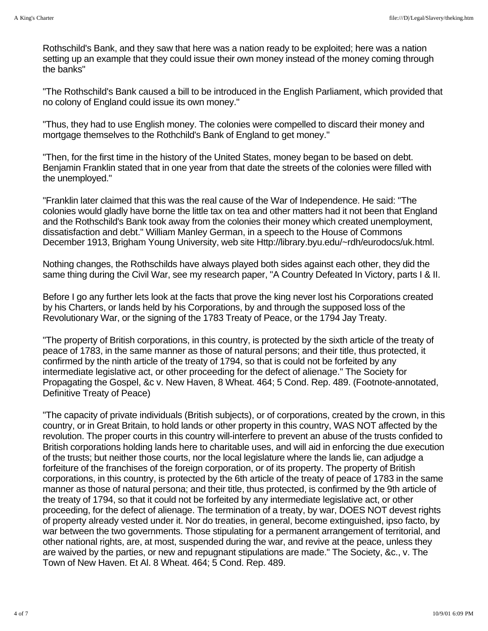Rothschild's Bank, and they saw that here was a nation ready to be exploited; here was a nation setting up an example that they could issue their own money instead of the money coming through the banks"

"The Rothschild's Bank caused a bill to be introduced in the English Parliament, which provided that no colony of England could issue its own money."

"Thus, they had to use English money. The colonies were compelled to discard their money and mortgage themselves to the Rothchild's Bank of England to get money."

"Then, for the first time in the history of the United States, money began to be based on debt. Benjamin Franklin stated that in one year from that date the streets of the colonies were filled with the unemployed."

"Franklin later claimed that this was the real cause of the War of Independence. He said: "The colonies would gladly have borne the little tax on tea and other matters had it not been that England and the Rothschild's Bank took away from the colonies their money which created unemployment, dissatisfaction and debt." William Manley German, in a speech to the House of Commons December 1913, Brigham Young University, web site Http://library.byu.edu/~rdh/eurodocs/uk.html.

Nothing changes, the Rothschilds have always played both sides against each other, they did the same thing during the Civil War, see my research paper, "A Country Defeated In Victory, parts I & II.

Before I go any further lets look at the facts that prove the king never lost his Corporations created by his Charters, or lands held by his Corporations, by and through the supposed loss of the Revolutionary War, or the signing of the 1783 Treaty of Peace, or the 1794 Jay Treaty.

"The property of British corporations, in this country, is protected by the sixth article of the treaty of peace of 1783, in the same manner as those of natural persons; and their title, thus protected, it confirmed by the ninth article of the treaty of 1794, so that is could not be forfeited by any intermediate legislative act, or other proceeding for the defect of alienage." The Society for Propagating the Gospel, &c v. New Haven, 8 Wheat. 464; 5 Cond. Rep. 489. (Footnote-annotated, Definitive Treaty of Peace)

"The capacity of private individuals (British subjects), or of corporations, created by the crown, in this country, or in Great Britain, to hold lands or other property in this country, WAS NOT affected by the revolution. The proper courts in this country will-interfere to prevent an abuse of the trusts confided to British corporations holding lands here to charitable uses, and will aid in enforcing the due execution of the trusts; but neither those courts, nor the local legislature where the lands lie, can adjudge a forfeiture of the franchises of the foreign corporation, or of its property. The property of British corporations, in this country, is protected by the 6th article of the treaty of peace of 1783 in the same manner as those of natural persona; and their title, thus protected, is confirmed by the 9th article of the treaty of 1794, so that it could not be forfeited by any intermediate legislative act, or other proceeding, for the defect of alienage. The termination of a treaty, by war, DOES NOT devest rights of property already vested under it. Nor do treaties, in general, become extinguished, ipso facto, by war between the two governments. Those stipulating for a permanent arrangement of territorial, and other national rights, are, at most, suspended during the war, and revive at the peace, unless they are waived by the parties, or new and repugnant stipulations are made." The Society, &c., v. The Town of New Haven. Et Al. 8 Wheat. 464; 5 Cond. Rep. 489.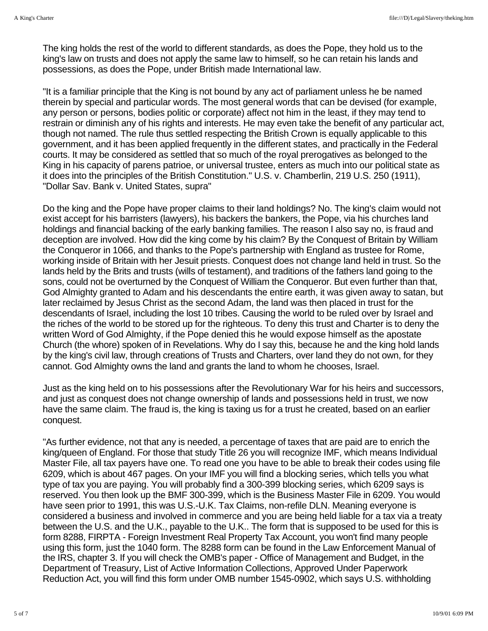The king holds the rest of the world to different standards, as does the Pope, they hold us to the king's law on trusts and does not apply the same law to himself, so he can retain his lands and possessions, as does the Pope, under British made International law.

"It is a familiar principle that the King is not bound by any act of parliament unless he be named therein by special and particular words. The most general words that can be devised (for example, any person or persons, bodies politic or corporate) affect not him in the least, if they may tend to restrain or diminish any of his rights and interests. He may even take the benefit of any particular act, though not named. The rule thus settled respecting the British Crown is equally applicable to this government, and it has been applied frequently in the different states, and practically in the Federal courts. It may be considered as settled that so much of the royal prerogatives as belonged to the King in his capacity of parens patrioe, or universal trustee, enters as much into our political state as it does into the principles of the British Constitution." U.S. v. Chamberlin, 219 U.S. 250 (1911), "Dollar Sav. Bank v. United States, supra"

Do the king and the Pope have proper claims to their land holdings? No. The king's claim would not exist accept for his barristers (lawyers), his backers the bankers, the Pope, via his churches land holdings and financial backing of the early banking families. The reason I also say no, is fraud and deception are involved. How did the king come by his claim? By the Conquest of Britain by William the Conqueror in 1066, and thanks to the Pope's partnership with England as trustee for Rome, working inside of Britain with her Jesuit priests. Conquest does not change land held in trust. So the lands held by the Brits and trusts (wills of testament), and traditions of the fathers land going to the sons, could not be overturned by the Conquest of William the Conqueror. But even further than that, God Almighty granted to Adam and his descendants the entire earth, it was given away to satan, but later reclaimed by Jesus Christ as the second Adam, the land was then placed in trust for the descendants of Israel, including the lost 10 tribes. Causing the world to be ruled over by Israel and the riches of the world to be stored up for the righteous. To deny this trust and Charter is to deny the written Word of God Almighty, if the Pope denied this he would expose himself as the apostate Church (the whore) spoken of in Revelations. Why do I say this, because he and the king hold lands by the king's civil law, through creations of Trusts and Charters, over land they do not own, for they cannot. God Almighty owns the land and grants the land to whom he chooses, Israel.

Just as the king held on to his possessions after the Revolutionary War for his heirs and successors, and just as conquest does not change ownership of lands and possessions held in trust, we now have the same claim. The fraud is, the king is taxing us for a trust he created, based on an earlier conquest.

"As further evidence, not that any is needed, a percentage of taxes that are paid are to enrich the king/queen of England. For those that study Title 26 you will recognize IMF, which means Individual Master File, all tax payers have one. To read one you have to be able to break their codes using file 6209, which is about 467 pages. On your IMF you will find a blocking series, which tells you what type of tax you are paying. You will probably find a 300-399 blocking series, which 6209 says is reserved. You then look up the BMF 300-399, which is the Business Master File in 6209. You would have seen prior to 1991, this was U.S.-U.K. Tax Claims, non-refile DLN. Meaning everyone is considered a business and involved in commerce and you are being held liable for a tax via a treaty between the U.S. and the U.K., payable to the U.K.. The form that is supposed to be used for this is form 8288, FIRPTA - Foreign Investment Real Property Tax Account, you won't find many people using this form, just the 1040 form. The 8288 form can be found in the Law Enforcement Manual of the IRS, chapter 3. If you will check the OMB's paper - Office of Management and Budget, in the Department of Treasury, List of Active Information Collections, Approved Under Paperwork Reduction Act, you will find this form under OMB number 1545-0902, which says U.S. withholding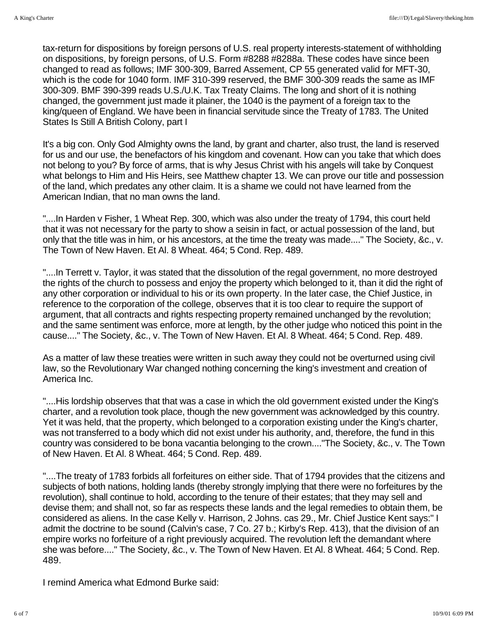tax-return for dispositions by foreign persons of U.S. real property interests-statement of withholding on dispositions, by foreign persons, of U.S. Form #8288 #8288a. These codes have since been changed to read as follows; IMF 300-309, Barred Assement, CP 55 generated valid for MFT-30, which is the code for 1040 form. IMF 310-399 reserved, the BMF 300-309 reads the same as IMF 300-309. BMF 390-399 reads U.S./U.K. Tax Treaty Claims. The long and short of it is nothing changed, the government just made it plainer, the 1040 is the payment of a foreign tax to the king/queen of England. We have been in financial servitude since the Treaty of 1783. The United States Is Still A British Colony, part I

It's a big con. Only God Almighty owns the land, by grant and charter, also trust, the land is reserved for us and our use, the benefactors of his kingdom and covenant. How can you take that which does not belong to you? By force of arms, that is why Jesus Christ with his angels will take by Conquest what belongs to Him and His Heirs, see Matthew chapter 13. We can prove our title and possession of the land, which predates any other claim. It is a shame we could not have learned from the American Indian, that no man owns the land.

"....In Harden v Fisher, 1 Wheat Rep. 300, which was also under the treaty of 1794, this court held that it was not necessary for the party to show a seisin in fact, or actual possession of the land, but only that the title was in him, or his ancestors, at the time the treaty was made...." The Society, &c., v. The Town of New Haven. Et Al. 8 Wheat. 464; 5 Cond. Rep. 489.

"....In Terrett v. Taylor, it was stated that the dissolution of the regal government, no more destroyed the rights of the church to possess and enjoy the property which belonged to it, than it did the right of any other corporation or individual to his or its own property. In the later case, the Chief Justice, in reference to the corporation of the college, observes that it is too clear to require the support of argument, that all contracts and rights respecting property remained unchanged by the revolution; and the same sentiment was enforce, more at length, by the other judge who noticed this point in the cause...." The Society, &c., v. The Town of New Haven. Et Al. 8 Wheat. 464; 5 Cond. Rep. 489.

As a matter of law these treaties were written in such away they could not be overturned using civil law, so the Revolutionary War changed nothing concerning the king's investment and creation of America Inc.

"....His lordship observes that that was a case in which the old government existed under the King's charter, and a revolution took place, though the new government was acknowledged by this country. Yet it was held, that the property, which belonged to a corporation existing under the King's charter, was not transferred to a body which did not exist under his authority, and, therefore, the fund in this country was considered to be bona vacantia belonging to the crown...."The Society, &c., v. The Town of New Haven. Et Al. 8 Wheat. 464; 5 Cond. Rep. 489.

"....The treaty of 1783 forbids all forfeitures on either side. That of 1794 provides that the citizens and subjects of both nations, holding lands (thereby strongly implying that there were no forfeitures by the revolution), shall continue to hold, according to the tenure of their estates; that they may sell and devise them; and shall not, so far as respects these lands and the legal remedies to obtain them, be considered as aliens. In the case Kelly v. Harrison, 2 Johns. cas 29., Mr. Chief Justice Kent says:" I admit the doctrine to be sound (Calvin's case, 7 Co. 27 b.; Kirby's Rep. 413), that the division of an empire works no forfeiture of a right previously acquired. The revolution left the demandant where she was before...." The Society, &c., v. The Town of New Haven. Et Al. 8 Wheat. 464; 5 Cond. Rep. 489.

I remind America what Edmond Burke said: